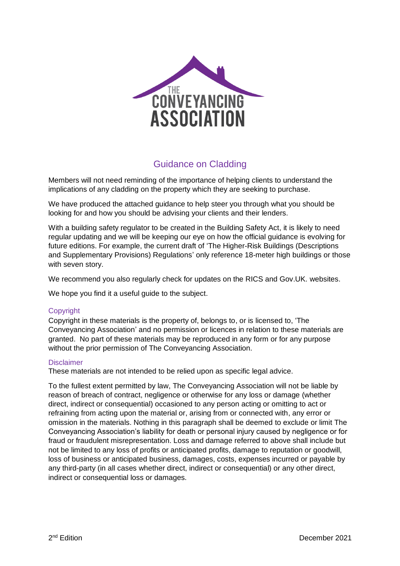

# Guidance on Cladding

Members will not need reminding of the importance of helping clients to understand the implications of any cladding on the property which they are seeking to purchase.

We have produced the attached guidance to help steer you through what you should be looking for and how you should be advising your clients and their lenders.

With a building safety regulator to be created in the Building Safety Act, it is likely to need regular updating and we will be keeping our eye on how the official guidance is evolving for future editions. For example, the current draft of 'The Higher-Risk Buildings (Descriptions and Supplementary Provisions) Regulations' only reference 18-meter high buildings or those with seven story.

We recommend you also regularly check for updates on the RICS and Gov.UK. websites.

We hope you find it a useful guide to the subject.

#### **Copyright**

Copyright in these materials is the property of, belongs to, or is licensed to, 'The Conveyancing Association' and no permission or licences in relation to these materials are granted. No part of these materials may be reproduced in any form or for any purpose without the prior permission of The Conveyancing Association.

#### **Disclaimer**

These materials are not intended to be relied upon as specific legal advice.

To the fullest extent permitted by law, The Conveyancing Association will not be liable by reason of breach of contract, negligence or otherwise for any loss or damage (whether direct, indirect or consequential) occasioned to any person acting or omitting to act or refraining from acting upon the material or, arising from or connected with, any error or omission in the materials. Nothing in this paragraph shall be deemed to exclude or limit The Conveyancing Association's liability for death or personal injury caused by negligence or for fraud or fraudulent misrepresentation. Loss and damage referred to above shall include but not be limited to any loss of profits or anticipated profits, damage to reputation or goodwill, loss of business or anticipated business, damages, costs, expenses incurred or payable by any third-party (in all cases whether direct, indirect or consequential) or any other direct, indirect or consequential loss or damages.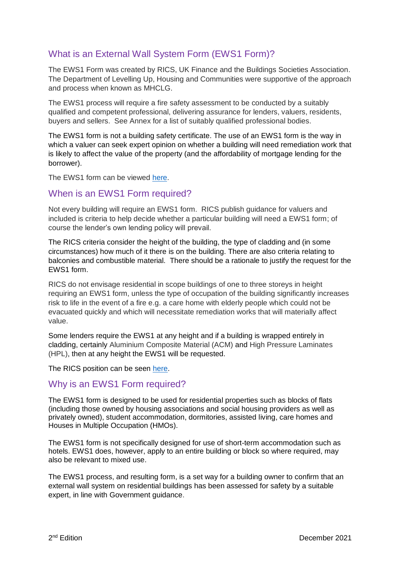# What is an External Wall System Form (EWS1 Form)?

The EWS1 Form was created by RICS, UK Finance and the Buildings Societies Association. The Department of Levelling Up, Housing and Communities were supportive of the approach and process when known as MHCLG.

The EWS1 process will require a fire safety assessment to be conducted by a suitably qualified and competent professional, delivering assurance for lenders, valuers, residents, buyers and sellers. See Annex for a list of suitably qualified professional bodies.

The EWS1 form is not a building safety certificate. The use of an EWS1 form is the way in which a valuer can seek expert opinion on whether a building will need remediation work that is likely to affect the value of the property (and the affordability of mortgage lending for the borrower).

The EWS1 form can be viewed [here.](https://www.rics.org/uk/news-insight/latest-news/fire-safety/cladding-qa/)

## When is an EWS1 Form required?

Not every building will require an EWS1 form. RICS publish guidance for valuers and included is criteria to help decide whether a particular building will need a EWS1 form; of course the lender's own lending policy will prevail.

The RICS criteria consider the height of the building, the type of cladding and (in some circumstances) how much of it there is on the building. There are also criteria relating to balconies and combustible material. There should be a rationale to justify the request for the EWS1 form.

RICS do not envisage residential in scope buildings of one to three storeys in height requiring an EWS1 form, unless the type of occupation of the building significantly increases risk to life in the event of a fire e.g. a care home with elderly people which could not be evacuated quickly and which will necessitate remediation works that will materially affect value.

Some lenders require the EWS1 at any height and if a building is wrapped entirely in cladding, certainly Aluminium Composite Material (ACM) and High Pressure Laminates (HPL), then at any height the EWS1 will be requested.

The RICS position can be seen [here.](https://www.rics.org/uk/news-insight/latest-news/fire-safety/cladding-qa/)

### Why is an EWS1 Form required?

The EWS1 form is designed to be used for residential properties such as blocks of flats (including those owned by housing associations and social housing providers as well as privately owned), student accommodation, dormitories, assisted living, care homes and Houses in Multiple Occupation (HMOs).

The EWS1 form is not specifically designed for use of short-term accommodation such as hotels. EWS1 does, however, apply to an entire building or block so where required, may also be relevant to mixed use.

The EWS1 process, and resulting form, is a set way for a building owner to confirm that an external wall system on residential buildings has been assessed for safety by a suitable expert, in line with Government guidance.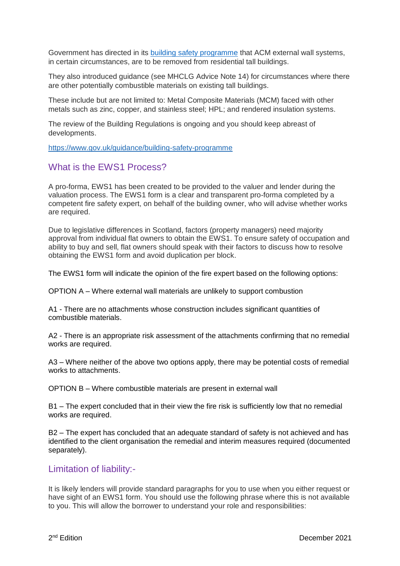Government has directed in its [building safety programme](https://www.gov.uk/guidance/building-safety-programme) that ACM external wall systems, in certain circumstances, are to be removed from residential tall buildings.

They also introduced guidance (see MHCLG Advice Note 14) for circumstances where there are other potentially combustible materials on existing tall buildings.

These include but are not limited to: Metal Composite Materials (MCM) faced with other metals such as zinc, copper, and stainless steel; HPL; and rendered insulation systems.

The review of the Building Regulations is ongoing and you should keep abreast of developments.

<https://www.gov.uk/guidance/building-safety-programme>

## What is the EWS1 Process?

A pro-forma, EWS1 has been created to be provided to the valuer and lender during the valuation process. The EWS1 form is a clear and transparent pro-forma completed by a competent fire safety expert, on behalf of the building owner, who will advise whether works are required.

Due to legislative differences in Scotland, factors (property managers) need majority approval from individual flat owners to obtain the EWS1. To ensure safety of occupation and ability to buy and sell, flat owners should speak with their factors to discuss how to resolve obtaining the EWS1 form and avoid duplication per block.

The EWS1 form will indicate the opinion of the fire expert based on the following options:

OPTION A – Where external wall materials are unlikely to support combustion

A1 - There are no attachments whose construction includes significant quantities of combustible materials.

A2 - There is an appropriate risk assessment of the attachments confirming that no remedial works are required.

A3 – Where neither of the above two options apply, there may be potential costs of remedial works to attachments.

OPTION B – Where combustible materials are present in external wall

B1 – The expert concluded that in their view the fire risk is sufficiently low that no remedial works are required.

B2 – The expert has concluded that an adequate standard of safety is not achieved and has identified to the client organisation the remedial and interim measures required (documented separately).

### Limitation of liability:-

It is likely lenders will provide standard paragraphs for you to use when you either request or have sight of an EWS1 form. You should use the following phrase where this is not available to you. This will allow the borrower to understand your role and responsibilities: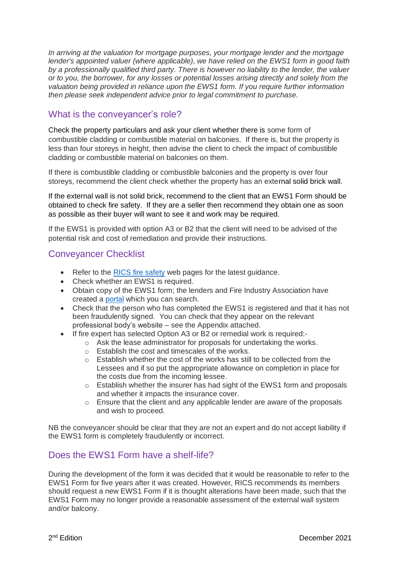*In arriving at the valuation for mortgage purposes, your mortgage lender and the mortgage lender's appointed valuer (where applicable), we have relied on the EWS1 form in good faith by a professionally qualified third party. There is however no liability to the lender, the valuer or to you, the borrower, for any losses or potential losses arising directly and solely from the valuation being provided in reliance upon the EWS1 form. If you require further information then please seek independent advice prior to legal commitment to purchase.*

## What is the conveyancer's role?

Check the property particulars and ask your client whether there is some form of combustible cladding or combustible material on balconies. If there is, but the property is less than four storeys in height, then advise the client to check the impact of combustible cladding or combustible material on balconies on them.

If there is combustible cladding or combustible balconies and the property is over four storeys, recommend the client check whether the property has an external solid brick wall.

If the external wall is not solid brick, recommend to the client that an EWS1 Form should be obtained to check fire safety. If they are a seller then recommend they obtain one as soon as possible as their buyer will want to see it and work may be required.

If the EWS1 is provided with option A3 or B2 that the client will need to be advised of the potential risk and cost of remediation and provide their instructions.

# Conveyancer Checklist

- Refer to the [RICS fire safety](https://www.rics.org/uk/news-insight/latest-news/fire-safety/cladding-qa/) web pages for the latest guidance.
- Check whether an EWS1 is required.
- Obtain copy of the EWS1 form; the lenders and Fire Industry Association have created a [portal](https://buildingsafetyportal.co.uk/) which you can search.
- Check that the person who has completed the EWS1 is registered and that it has not been fraudulently signed.You can check that they appear on the relevant professional body's website – see the Appendix attached.
- If fire expert has selected Option A3 or B2 or remedial work is required:
	- o Ask the lease administrator for proposals for undertaking the works.
	- o Establish the cost and timescales of the works.
	- o Establish whether the cost of the works has still to be collected from the Lessees and if so put the appropriate allowance on completion in place for the costs due from the incoming lessee.
	- $\circ$  Establish whether the insurer has had sight of the EWS1 form and proposals and whether it impacts the insurance cover.
	- $\circ$  Ensure that the client and any applicable lender are aware of the proposals and wish to proceed.

NB the conveyancer should be clear that they are not an expert and do not accept liability if the EWS1 form is completely fraudulently or incorrect.

# Does the EWS1 Form have a shelf-life?

During the development of the form it was decided that it would be reasonable to refer to the EWS1 Form for five years after it was created. However, RICS recommends its members should request a new EWS1 Form if it is thought alterations have been made, such that the EWS1 Form may no longer provide a reasonable assessment of the external wall system and/or balcony.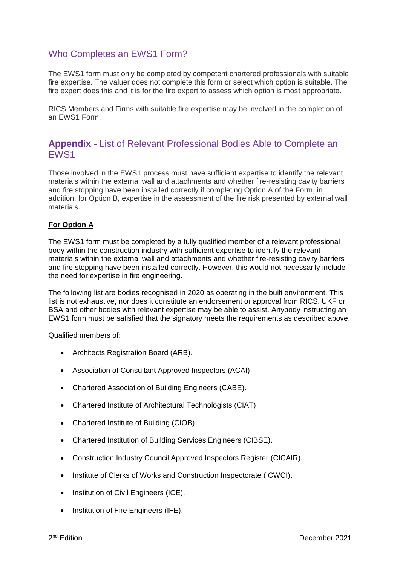# Who Completes an EWS1 Form?

The EWS1 form must only be completed by competent chartered professionals with suitable fire expertise. The valuer does not complete this form or select which option is suitable. The fire expert does this and it is for the fire expert to assess which option is most appropriate.

RICS Members and Firms with suitable fire expertise may be involved in the completion of an EWS1 Form.

## **Appendix -** List of Relevant Professional Bodies Able to Complete an EWS1

Those involved in the EWS1 process must have sufficient expertise to identify the relevant materials within the external wall and attachments and whether fire-resisting cavity barriers and fire stopping have been installed correctly if completing Option A of the Form, in addition, for Option B, expertise in the assessment of the fire risk presented by external wall materials.

### **For Option A**

The EWS1 form must be completed by a fully qualified member of a relevant professional body within the construction industry with sufficient expertise to identify the relevant materials within the external wall and attachments and whether fire-resisting cavity barriers and fire stopping have been installed correctly. However, this would not necessarily include the need for expertise in fire engineering.

The following list are bodies recognised in 2020 as operating in the built environment. This list is not exhaustive, nor does it constitute an endorsement or approval from RICS, UKF or BSA and other bodies with relevant expertise may be able to assist. Anybody instructing an EWS1 form must be satisfied that the signatory meets the requirements as described above.

Qualified members of:

- Architects Registration Board (ARB).
- Association of Consultant Approved Inspectors (ACAI).
- Chartered Association of Building Engineers (CABE).
- Chartered Institute of Architectural Technologists (CIAT).
- Chartered Institute of Building (CIOB).
- Chartered Institution of Building Services Engineers (CIBSE).
- Construction Industry Council Approved Inspectors Register (CICAIR).
- Institute of Clerks of Works and Construction Inspectorate (ICWCI).
- Institution of Civil Engineers (ICE).
- Institution of Fire Engineers (IFE).